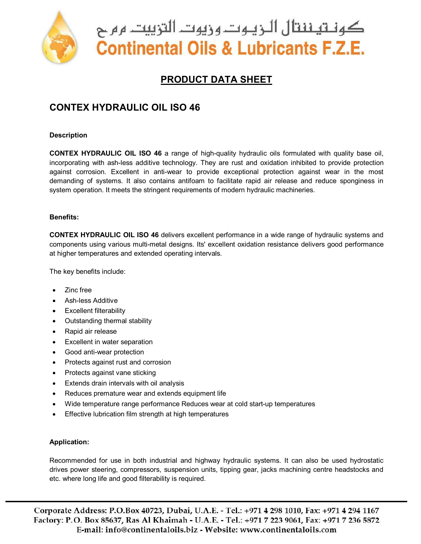

كونــتيــننتال الـــزيــوتـــروزيوت التزييت ــرم ح **Continental Oils & Lubricants F.Z.E.** 

## **PRODUCT DATA SHEET**

## **CONTEX HYDRAULIC OIL ISO 46**

#### **Description**

**CONTEX HYDRAULIC OIL ISO 46** a range of high-quality hydraulic oils formulated with quality base oil, incorporating with ash-less additive technology. They are rust and oxidation inhibited to provide protection against corrosion. Excellent in anti-wear to provide exceptional protection against wear in the most demanding of systems. It also contains antifoam to facilitate rapid air release and reduce sponginess in system operation. It meets the stringent requirements of modern hydraulic machineries.

#### **Benefits:**

**CONTEX HYDRAULIC OIL ISO 46** delivers excellent performance in a wide range of hydraulic systems and components using various multi-metal designs. Its' excellent oxidation resistance delivers good performance at higher temperatures and extended operating intervals.

The key benefits include:

- Zinc free
- Ash-less Additive
- Excellent filterability
- Outstanding thermal stability
- Rapid air release
- Excellent in water separation
- Good anti-wear protection
- Protects against rust and corrosion
- Protects against vane sticking
- Extends drain intervals with oil analysis
- Reduces premature wear and extends equipment life
- Wide temperature range performance Reduces wear at cold start-up temperatures
- **Effective lubrication film strength at high temperatures**

#### **Application:**

Recommended for use in both industrial and highway hydraulic systems. It can also be used hydrostatic drives power steering, compressors, suspension units, tipping gear, jacks machining centre headstocks and etc. where long life and good filterability is required.